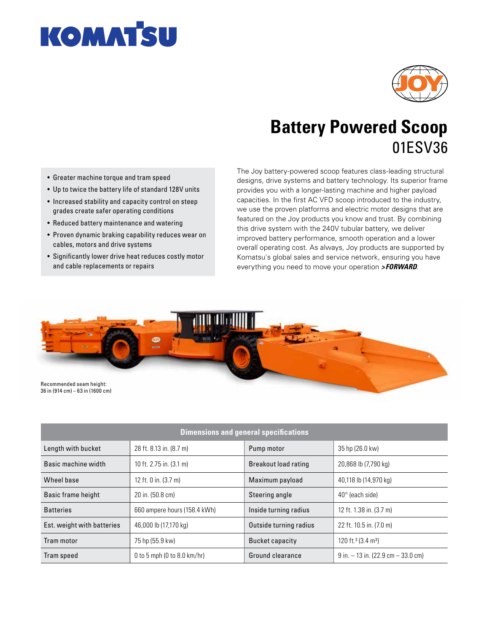



## **Battery Powered Scoop** 01ESV36

- Greater machine torque and tram speed
- Up to twice the battery life of standard 128V units
- Increased stability and capacity control on steep grades create safer operating conditions
- Reduced battery maintenance and watering
- Proven dynamic braking capability reduces wear on cables, motors and drive systems
- Significantly lower drive heat reduces costly motor and cable replacements or repairs

The Joy battery-powered scoop features class-leading structural designs, drive systems and battery technology. Its superior frame provides you with a longer-lasting machine and higher payload capacities. In the first AC VFD scoop introduced to the industry, we use the proven platforms and electric motor designs that are featured on the Joy products you know and trust. By combining this drive system with the 240V tubular battery, we deliver improved battery performance, smooth operation and a lower overall operating cost. As always, Joy products are supported by Komatsu's global sales and service network, ensuring you have everything you need to move your operation *>FORWARD*.



| <b>Dimensions and general specifications</b> |                              |                        |                                            |
|----------------------------------------------|------------------------------|------------------------|--------------------------------------------|
| Length with bucket                           | 28 ft. 8.13 in. (8.7 m)      | Pump motor             | 35 hp (26.0 kw)                            |
| Basic machine width                          | 10 ft. 2.75 in. (3.1 m)      | Breakout load rating   | 20,868 lb (7,790 kg)                       |
| Wheel base                                   | 12 ft. 0 in. (3.7 m)         | Maximum payload        | 40,118 lb (14,970 kg)                      |
| Basic frame height                           | 20 in. (50.8 cm)             | Steering angle         | $40^\circ$ (each side)                     |
| <b>Batteries</b>                             | 660 ampere hours (158.4 kWh) | Inside turning radius  | 12 ft. 1.38 in. (3.7 m)                    |
| Est. weight with batteries                   | 46,000 lb (17,170 kg)        | Outside turning radius | 22 ft. 10.5 in. (7.0 m)                    |
| Tram motor                                   | 75 hp (55.9 kw)              | <b>Bucket capacity</b> | 120 ft. <sup>3</sup> (3.4 m <sup>3</sup> ) |
| Tram speed                                   | 0 to 5 mph (0 to 8.0 km/hr)  | Ground clearance       | $9$ in. $-13$ in. (22.9 cm $-33.0$ cm)     |